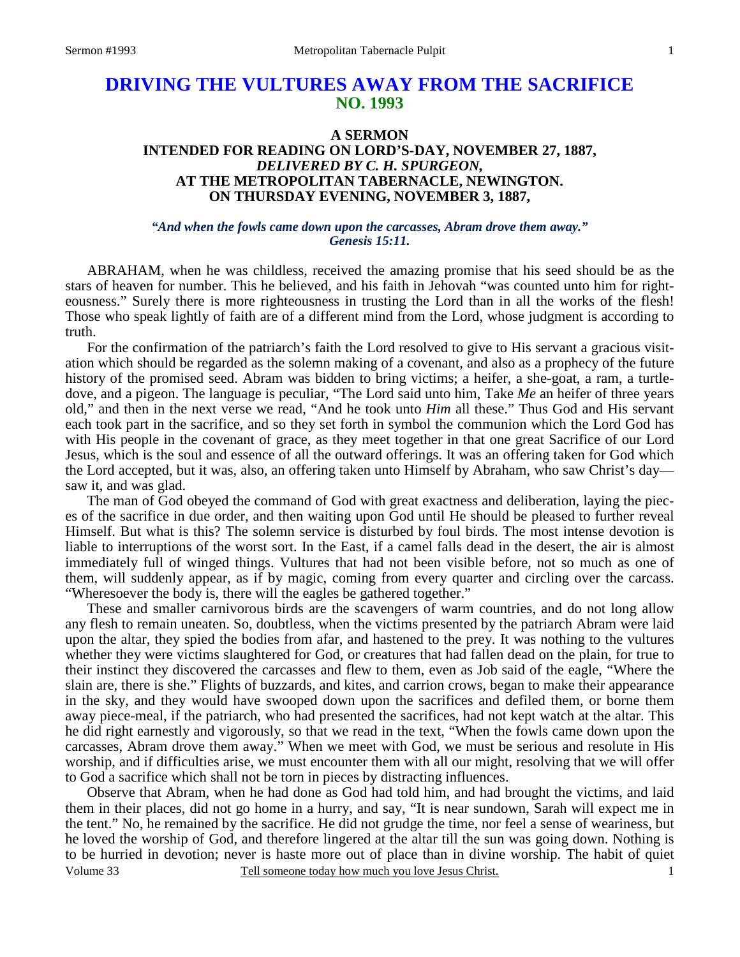# **DRIVING THE VULTURES AWAY FROM THE SACRIFICE NO. 1993**

# **A SERMON INTENDED FOR READING ON LORD'S-DAY, NOVEMBER 27, 1887,**  *DELIVERED BY C. H. SPURGEON,*  **AT THE METROPOLITAN TABERNACLE, NEWINGTON. ON THURSDAY EVENING, NOVEMBER 3, 1887,**

#### *"And when the fowls came down upon the carcasses, Abram drove them away." Genesis 15:11.*

ABRAHAM, when he was childless, received the amazing promise that his seed should be as the stars of heaven for number. This he believed, and his faith in Jehovah "was counted unto him for righteousness." Surely there is more righteousness in trusting the Lord than in all the works of the flesh! Those who speak lightly of faith are of a different mind from the Lord, whose judgment is according to truth.

For the confirmation of the patriarch's faith the Lord resolved to give to His servant a gracious visitation which should be regarded as the solemn making of a covenant, and also as a prophecy of the future history of the promised seed. Abram was bidden to bring victims; a heifer, a she-goat, a ram, a turtledove, and a pigeon. The language is peculiar, "The Lord said unto him, Take *Me* an heifer of three years old," and then in the next verse we read, "And he took unto *Him* all these." Thus God and His servant each took part in the sacrifice, and so they set forth in symbol the communion which the Lord God has with His people in the covenant of grace, as they meet together in that one great Sacrifice of our Lord Jesus, which is the soul and essence of all the outward offerings. It was an offering taken for God which the Lord accepted, but it was, also, an offering taken unto Himself by Abraham, who saw Christ's day saw it, and was glad.

The man of God obeyed the command of God with great exactness and deliberation, laying the pieces of the sacrifice in due order, and then waiting upon God until He should be pleased to further reveal Himself. But what is this? The solemn service is disturbed by foul birds. The most intense devotion is liable to interruptions of the worst sort. In the East, if a camel falls dead in the desert, the air is almost immediately full of winged things. Vultures that had not been visible before, not so much as one of them, will suddenly appear, as if by magic, coming from every quarter and circling over the carcass. "Wheresoever the body is, there will the eagles be gathered together."

These and smaller carnivorous birds are the scavengers of warm countries, and do not long allow any flesh to remain uneaten. So, doubtless, when the victims presented by the patriarch Abram were laid upon the altar, they spied the bodies from afar, and hastened to the prey. It was nothing to the vultures whether they were victims slaughtered for God, or creatures that had fallen dead on the plain, for true to their instinct they discovered the carcasses and flew to them, even as Job said of the eagle, "Where the slain are, there is she." Flights of buzzards, and kites, and carrion crows, began to make their appearance in the sky, and they would have swooped down upon the sacrifices and defiled them, or borne them away piece-meal, if the patriarch, who had presented the sacrifices, had not kept watch at the altar. This he did right earnestly and vigorously, so that we read in the text, "When the fowls came down upon the carcasses, Abram drove them away." When we meet with God, we must be serious and resolute in His worship, and if difficulties arise, we must encounter them with all our might, resolving that we will offer to God a sacrifice which shall not be torn in pieces by distracting influences.

Volume 33 Tell someone today how much you love Jesus Christ. Observe that Abram, when he had done as God had told him, and had brought the victims, and laid them in their places, did not go home in a hurry, and say, "It is near sundown, Sarah will expect me in the tent." No, he remained by the sacrifice. He did not grudge the time, nor feel a sense of weariness, but he loved the worship of God, and therefore lingered at the altar till the sun was going down. Nothing is to be hurried in devotion; never is haste more out of place than in divine worship. The habit of quiet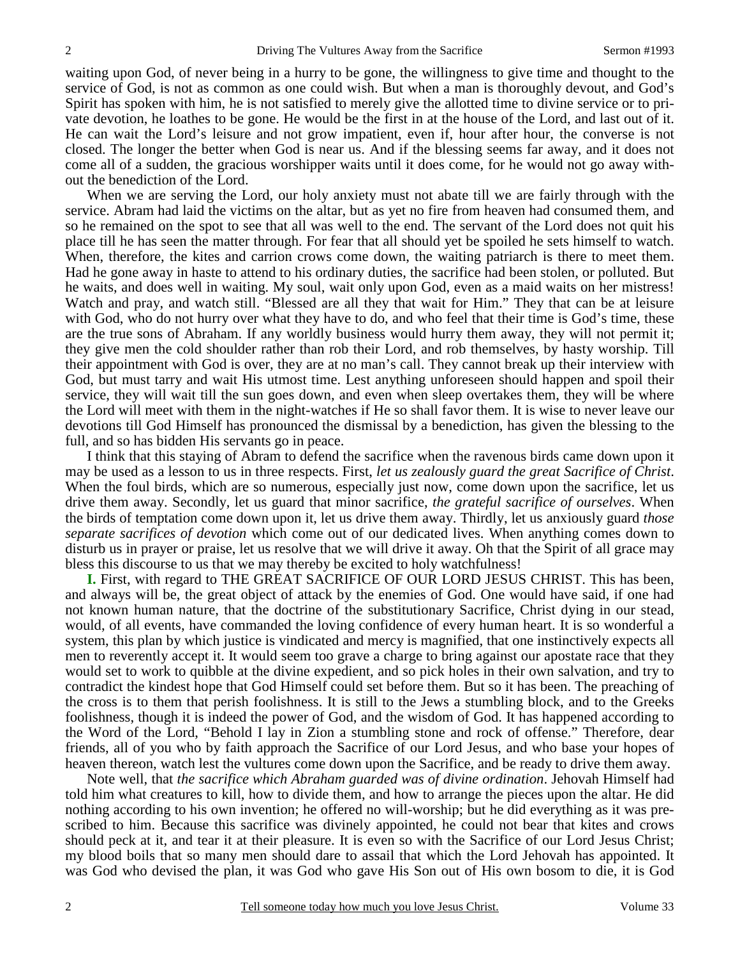waiting upon God, of never being in a hurry to be gone, the willingness to give time and thought to the service of God, is not as common as one could wish. But when a man is thoroughly devout, and God's Spirit has spoken with him, he is not satisfied to merely give the allotted time to divine service or to private devotion, he loathes to be gone. He would be the first in at the house of the Lord, and last out of it. He can wait the Lord's leisure and not grow impatient, even if, hour after hour, the converse is not closed. The longer the better when God is near us. And if the blessing seems far away, and it does not come all of a sudden, the gracious worshipper waits until it does come, for he would not go away without the benediction of the Lord.

When we are serving the Lord, our holy anxiety must not abate till we are fairly through with the service. Abram had laid the victims on the altar, but as yet no fire from heaven had consumed them, and so he remained on the spot to see that all was well to the end. The servant of the Lord does not quit his place till he has seen the matter through. For fear that all should yet be spoiled he sets himself to watch. When, therefore, the kites and carrion crows come down, the waiting patriarch is there to meet them. Had he gone away in haste to attend to his ordinary duties, the sacrifice had been stolen, or polluted. But he waits, and does well in waiting. My soul, wait only upon God, even as a maid waits on her mistress! Watch and pray, and watch still. "Blessed are all they that wait for Him." They that can be at leisure with God, who do not hurry over what they have to do, and who feel that their time is God's time, these are the true sons of Abraham. If any worldly business would hurry them away, they will not permit it; they give men the cold shoulder rather than rob their Lord, and rob themselves, by hasty worship. Till their appointment with God is over, they are at no man's call. They cannot break up their interview with God, but must tarry and wait His utmost time. Lest anything unforeseen should happen and spoil their service, they will wait till the sun goes down, and even when sleep overtakes them, they will be where the Lord will meet with them in the night-watches if He so shall favor them. It is wise to never leave our devotions till God Himself has pronounced the dismissal by a benediction, has given the blessing to the full, and so has bidden His servants go in peace.

I think that this staying of Abram to defend the sacrifice when the ravenous birds came down upon it may be used as a lesson to us in three respects. First, *let us zealously guard the great Sacrifice of Christ*. When the foul birds, which are so numerous, especially just now, come down upon the sacrifice, let us drive them away. Secondly, let us guard that minor sacrifice, *the grateful sacrifice of ourselves*. When the birds of temptation come down upon it, let us drive them away. Thirdly, let us anxiously guard *those separate sacrifices of devotion* which come out of our dedicated lives. When anything comes down to disturb us in prayer or praise, let us resolve that we will drive it away. Oh that the Spirit of all grace may bless this discourse to us that we may thereby be excited to holy watchfulness!

**I.** First, with regard to THE GREAT SACRIFICE OF OUR LORD JESUS CHRIST. This has been, and always will be, the great object of attack by the enemies of God. One would have said, if one had not known human nature, that the doctrine of the substitutionary Sacrifice, Christ dying in our stead, would, of all events, have commanded the loving confidence of every human heart. It is so wonderful a system, this plan by which justice is vindicated and mercy is magnified, that one instinctively expects all men to reverently accept it. It would seem too grave a charge to bring against our apostate race that they would set to work to quibble at the divine expedient, and so pick holes in their own salvation, and try to contradict the kindest hope that God Himself could set before them. But so it has been. The preaching of the cross is to them that perish foolishness. It is still to the Jews a stumbling block, and to the Greeks foolishness, though it is indeed the power of God, and the wisdom of God. It has happened according to the Word of the Lord, "Behold I lay in Zion a stumbling stone and rock of offense." Therefore, dear friends, all of you who by faith approach the Sacrifice of our Lord Jesus, and who base your hopes of heaven thereon, watch lest the vultures come down upon the Sacrifice, and be ready to drive them away.

Note well, that *the sacrifice which Abraham guarded was of divine ordination*. Jehovah Himself had told him what creatures to kill, how to divide them, and how to arrange the pieces upon the altar. He did nothing according to his own invention; he offered no will-worship; but he did everything as it was prescribed to him. Because this sacrifice was divinely appointed, he could not bear that kites and crows should peck at it, and tear it at their pleasure. It is even so with the Sacrifice of our Lord Jesus Christ; my blood boils that so many men should dare to assail that which the Lord Jehovah has appointed. It was God who devised the plan, it was God who gave His Son out of His own bosom to die, it is God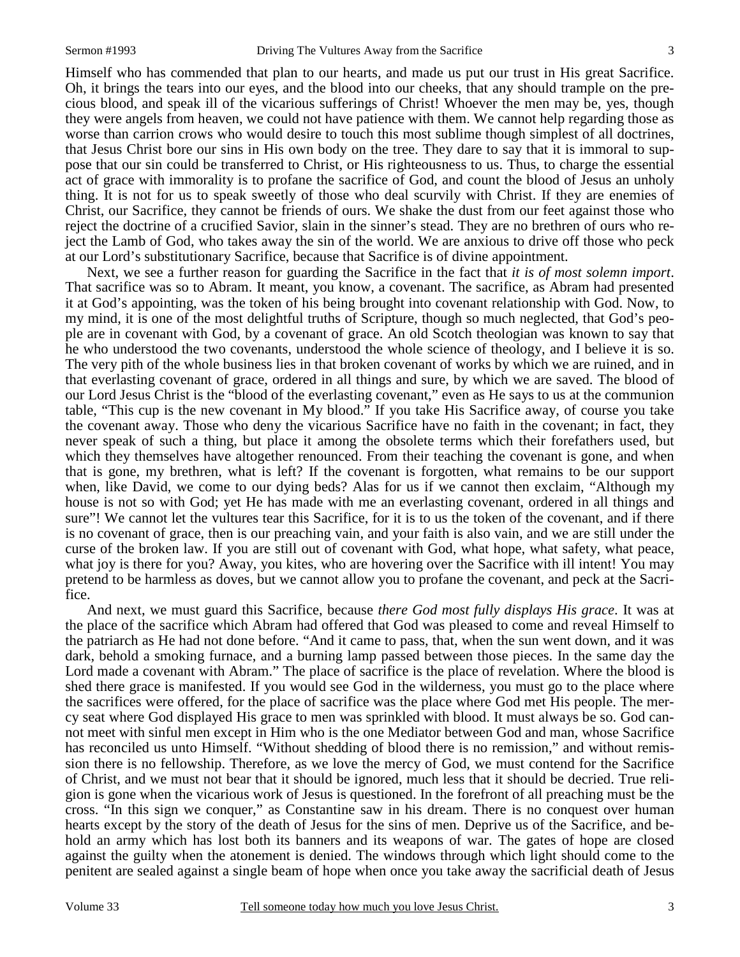Himself who has commended that plan to our hearts, and made us put our trust in His great Sacrifice. Oh, it brings the tears into our eyes, and the blood into our cheeks, that any should trample on the precious blood, and speak ill of the vicarious sufferings of Christ! Whoever the men may be, yes, though they were angels from heaven, we could not have patience with them. We cannot help regarding those as worse than carrion crows who would desire to touch this most sublime though simplest of all doctrines, that Jesus Christ bore our sins in His own body on the tree. They dare to say that it is immoral to suppose that our sin could be transferred to Christ, or His righteousness to us. Thus, to charge the essential act of grace with immorality is to profane the sacrifice of God, and count the blood of Jesus an unholy thing. It is not for us to speak sweetly of those who deal scurvily with Christ. If they are enemies of Christ, our Sacrifice, they cannot be friends of ours. We shake the dust from our feet against those who reject the doctrine of a crucified Savior, slain in the sinner's stead. They are no brethren of ours who reject the Lamb of God, who takes away the sin of the world. We are anxious to drive off those who peck at our Lord's substitutionary Sacrifice, because that Sacrifice is of divine appointment.

Next, we see a further reason for guarding the Sacrifice in the fact that *it is of most solemn import*. That sacrifice was so to Abram. It meant, you know, a covenant. The sacrifice, as Abram had presented it at God's appointing, was the token of his being brought into covenant relationship with God. Now, to my mind, it is one of the most delightful truths of Scripture, though so much neglected, that God's people are in covenant with God, by a covenant of grace. An old Scotch theologian was known to say that he who understood the two covenants, understood the whole science of theology, and I believe it is so. The very pith of the whole business lies in that broken covenant of works by which we are ruined, and in that everlasting covenant of grace, ordered in all things and sure, by which we are saved. The blood of our Lord Jesus Christ is the "blood of the everlasting covenant," even as He says to us at the communion table, "This cup is the new covenant in My blood." If you take His Sacrifice away, of course you take the covenant away. Those who deny the vicarious Sacrifice have no faith in the covenant; in fact, they never speak of such a thing, but place it among the obsolete terms which their forefathers used, but which they themselves have altogether renounced. From their teaching the covenant is gone, and when that is gone, my brethren, what is left? If the covenant is forgotten, what remains to be our support when, like David, we come to our dying beds? Alas for us if we cannot then exclaim, "Although my house is not so with God; yet He has made with me an everlasting covenant, ordered in all things and sure"! We cannot let the vultures tear this Sacrifice, for it is to us the token of the covenant, and if there is no covenant of grace, then is our preaching vain, and your faith is also vain, and we are still under the curse of the broken law. If you are still out of covenant with God, what hope, what safety, what peace, what joy is there for you? Away, you kites, who are hovering over the Sacrifice with ill intent! You may pretend to be harmless as doves, but we cannot allow you to profane the covenant, and peck at the Sacrifice.

And next, we must guard this Sacrifice, because *there God most fully displays His grace*. It was at the place of the sacrifice which Abram had offered that God was pleased to come and reveal Himself to the patriarch as He had not done before. "And it came to pass, that, when the sun went down, and it was dark, behold a smoking furnace, and a burning lamp passed between those pieces. In the same day the Lord made a covenant with Abram." The place of sacrifice is the place of revelation. Where the blood is shed there grace is manifested. If you would see God in the wilderness, you must go to the place where the sacrifices were offered, for the place of sacrifice was the place where God met His people. The mercy seat where God displayed His grace to men was sprinkled with blood. It must always be so. God cannot meet with sinful men except in Him who is the one Mediator between God and man, whose Sacrifice has reconciled us unto Himself. "Without shedding of blood there is no remission," and without remission there is no fellowship. Therefore, as we love the mercy of God, we must contend for the Sacrifice of Christ, and we must not bear that it should be ignored, much less that it should be decried. True religion is gone when the vicarious work of Jesus is questioned. In the forefront of all preaching must be the cross. "In this sign we conquer," as Constantine saw in his dream. There is no conquest over human hearts except by the story of the death of Jesus for the sins of men. Deprive us of the Sacrifice, and behold an army which has lost both its banners and its weapons of war. The gates of hope are closed against the guilty when the atonement is denied. The windows through which light should come to the penitent are sealed against a single beam of hope when once you take away the sacrificial death of Jesus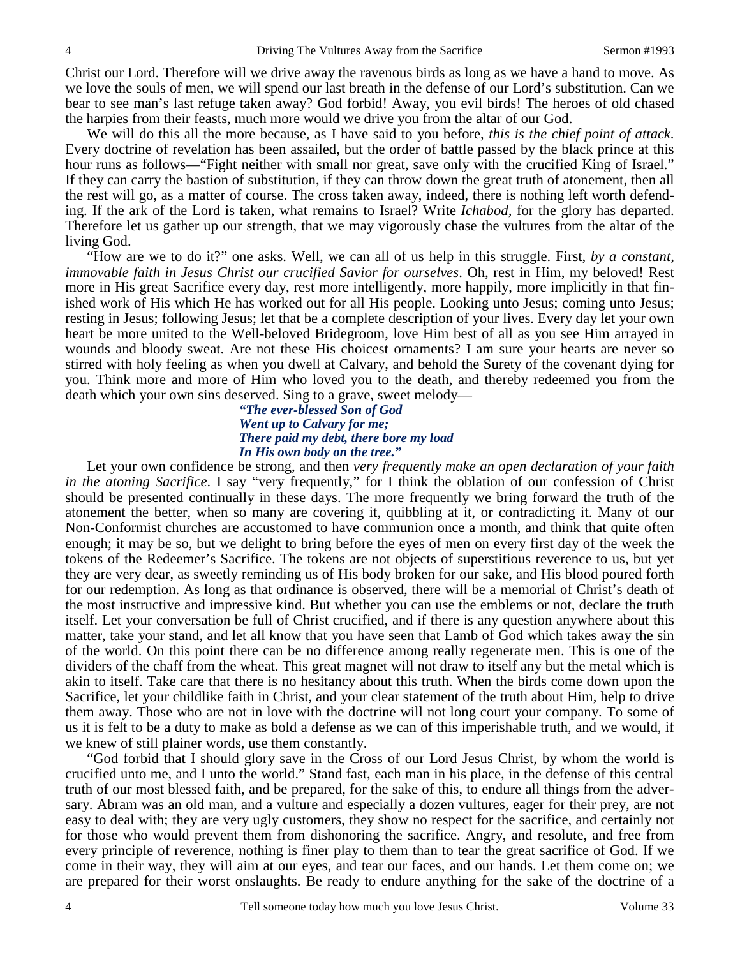Christ our Lord. Therefore will we drive away the ravenous birds as long as we have a hand to move. As we love the souls of men, we will spend our last breath in the defense of our Lord's substitution. Can we bear to see man's last refuge taken away? God forbid! Away, you evil birds! The heroes of old chased the harpies from their feasts, much more would we drive you from the altar of our God.

We will do this all the more because, as I have said to you before, *this is the chief point of attack*. Every doctrine of revelation has been assailed, but the order of battle passed by the black prince at this hour runs as follows—"Fight neither with small nor great, save only with the crucified King of Israel." If they can carry the bastion of substitution, if they can throw down the great truth of atonement, then all the rest will go, as a matter of course. The cross taken away, indeed, there is nothing left worth defending. If the ark of the Lord is taken, what remains to Israel? Write *Ichabod,* for the glory has departed. Therefore let us gather up our strength, that we may vigorously chase the vultures from the altar of the living God.

"How are we to do it?" one asks. Well, we can all of us help in this struggle. First, *by a constant, immovable faith in Jesus Christ our crucified Savior for ourselves*. Oh, rest in Him, my beloved! Rest more in His great Sacrifice every day, rest more intelligently, more happily, more implicitly in that finished work of His which He has worked out for all His people. Looking unto Jesus; coming unto Jesus; resting in Jesus; following Jesus; let that be a complete description of your lives. Every day let your own heart be more united to the Well-beloved Bridegroom, love Him best of all as you see Him arrayed in wounds and bloody sweat. Are not these His choicest ornaments? I am sure your hearts are never so stirred with holy feeling as when you dwell at Calvary, and behold the Surety of the covenant dying for you. Think more and more of Him who loved you to the death, and thereby redeemed you from the death which your own sins deserved. Sing to a grave, sweet melody—

> *"The ever-blessed Son of God Went up to Calvary for me; There paid my debt, there bore my load In His own body on the tree."*

Let your own confidence be strong, and then *very frequently make an open declaration of your faith in the atoning Sacrifice*. I say "very frequently," for I think the oblation of our confession of Christ should be presented continually in these days. The more frequently we bring forward the truth of the atonement the better, when so many are covering it, quibbling at it, or contradicting it. Many of our Non-Conformist churches are accustomed to have communion once a month, and think that quite often enough; it may be so, but we delight to bring before the eyes of men on every first day of the week the tokens of the Redeemer's Sacrifice. The tokens are not objects of superstitious reverence to us, but yet they are very dear, as sweetly reminding us of His body broken for our sake, and His blood poured forth for our redemption. As long as that ordinance is observed, there will be a memorial of Christ's death of the most instructive and impressive kind. But whether you can use the emblems or not, declare the truth itself. Let your conversation be full of Christ crucified, and if there is any question anywhere about this matter, take your stand, and let all know that you have seen that Lamb of God which takes away the sin of the world. On this point there can be no difference among really regenerate men. This is one of the dividers of the chaff from the wheat. This great magnet will not draw to itself any but the metal which is akin to itself. Take care that there is no hesitancy about this truth. When the birds come down upon the Sacrifice, let your childlike faith in Christ, and your clear statement of the truth about Him, help to drive them away. Those who are not in love with the doctrine will not long court your company. To some of us it is felt to be a duty to make as bold a defense as we can of this imperishable truth, and we would, if we knew of still plainer words, use them constantly.

"God forbid that I should glory save in the Cross of our Lord Jesus Christ, by whom the world is crucified unto me, and I unto the world." Stand fast, each man in his place, in the defense of this central truth of our most blessed faith, and be prepared, for the sake of this, to endure all things from the adversary. Abram was an old man, and a vulture and especially a dozen vultures, eager for their prey, are not easy to deal with; they are very ugly customers, they show no respect for the sacrifice, and certainly not for those who would prevent them from dishonoring the sacrifice. Angry, and resolute, and free from every principle of reverence, nothing is finer play to them than to tear the great sacrifice of God. If we come in their way, they will aim at our eyes, and tear our faces, and our hands. Let them come on; we are prepared for their worst onslaughts. Be ready to endure anything for the sake of the doctrine of a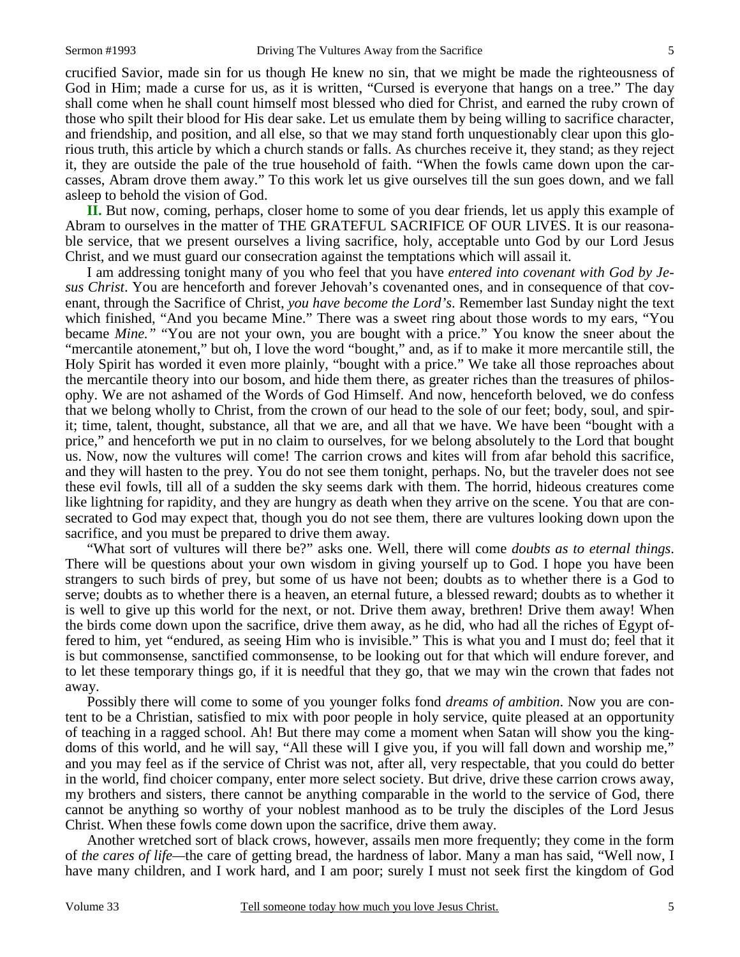crucified Savior, made sin for us though He knew no sin, that we might be made the righteousness of God in Him; made a curse for us, as it is written, "Cursed is everyone that hangs on a tree." The day shall come when he shall count himself most blessed who died for Christ, and earned the ruby crown of those who spilt their blood for His dear sake. Let us emulate them by being willing to sacrifice character, and friendship, and position, and all else, so that we may stand forth unquestionably clear upon this glorious truth, this article by which a church stands or falls. As churches receive it, they stand; as they reject it, they are outside the pale of the true household of faith. "When the fowls came down upon the carcasses, Abram drove them away." To this work let us give ourselves till the sun goes down, and we fall asleep to behold the vision of God.

**II.** But now, coming, perhaps, closer home to some of you dear friends, let us apply this example of Abram to ourselves in the matter of THE GRATEFUL SACRIFICE OF OUR LIVES. It is our reasonable service, that we present ourselves a living sacrifice, holy, acceptable unto God by our Lord Jesus Christ, and we must guard our consecration against the temptations which will assail it.

I am addressing tonight many of you who feel that you have *entered into covenant with God by Jesus Christ*. You are henceforth and forever Jehovah's covenanted ones, and in consequence of that covenant, through the Sacrifice of Christ, *you have become the Lord's*. Remember last Sunday night the text which finished, "And you became Mine." There was a sweet ring about those words to my ears, "You became *Mine."* "You are not your own, you are bought with a price." You know the sneer about the "mercantile atonement," but oh, I love the word "bought," and, as if to make it more mercantile still, the Holy Spirit has worded it even more plainly, "bought with a price." We take all those reproaches about the mercantile theory into our bosom, and hide them there, as greater riches than the treasures of philosophy. We are not ashamed of the Words of God Himself. And now, henceforth beloved, we do confess that we belong wholly to Christ, from the crown of our head to the sole of our feet; body, soul, and spirit; time, talent, thought, substance, all that we are, and all that we have. We have been "bought with a price," and henceforth we put in no claim to ourselves, for we belong absolutely to the Lord that bought us. Now, now the vultures will come! The carrion crows and kites will from afar behold this sacrifice, and they will hasten to the prey. You do not see them tonight, perhaps. No, but the traveler does not see these evil fowls, till all of a sudden the sky seems dark with them. The horrid, hideous creatures come like lightning for rapidity, and they are hungry as death when they arrive on the scene. You that are consecrated to God may expect that, though you do not see them, there are vultures looking down upon the sacrifice, and you must be prepared to drive them away.

"What sort of vultures will there be?" asks one. Well, there will come *doubts as to eternal things*. There will be questions about your own wisdom in giving yourself up to God. I hope you have been strangers to such birds of prey, but some of us have not been; doubts as to whether there is a God to serve; doubts as to whether there is a heaven, an eternal future, a blessed reward; doubts as to whether it is well to give up this world for the next, or not. Drive them away, brethren! Drive them away! When the birds come down upon the sacrifice, drive them away, as he did, who had all the riches of Egypt offered to him, yet "endured, as seeing Him who is invisible." This is what you and I must do; feel that it is but commonsense, sanctified commonsense, to be looking out for that which will endure forever, and to let these temporary things go, if it is needful that they go, that we may win the crown that fades not away.

Possibly there will come to some of you younger folks fond *dreams of ambition*. Now you are content to be a Christian, satisfied to mix with poor people in holy service, quite pleased at an opportunity of teaching in a ragged school. Ah! But there may come a moment when Satan will show you the kingdoms of this world, and he will say, "All these will I give you, if you will fall down and worship me," and you may feel as if the service of Christ was not, after all, very respectable, that you could do better in the world, find choicer company, enter more select society. But drive, drive these carrion crows away, my brothers and sisters, there cannot be anything comparable in the world to the service of God, there cannot be anything so worthy of your noblest manhood as to be truly the disciples of the Lord Jesus Christ. When these fowls come down upon the sacrifice, drive them away.

Another wretched sort of black crows, however, assails men more frequently; they come in the form of *the cares of life—*the care of getting bread, the hardness of labor. Many a man has said, "Well now, I have many children, and I work hard, and I am poor; surely I must not seek first the kingdom of God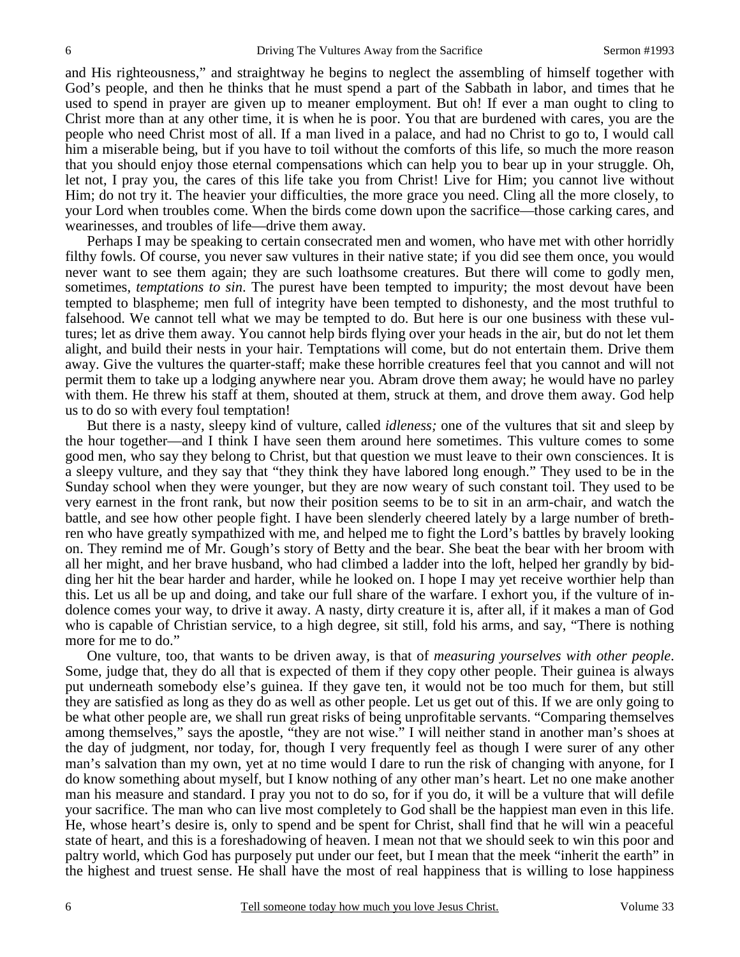and His righteousness," and straightway he begins to neglect the assembling of himself together with God's people, and then he thinks that he must spend a part of the Sabbath in labor, and times that he used to spend in prayer are given up to meaner employment. But oh! If ever a man ought to cling to Christ more than at any other time, it is when he is poor. You that are burdened with cares, you are the people who need Christ most of all. If a man lived in a palace, and had no Christ to go to, I would call him a miserable being, but if you have to toil without the comforts of this life, so much the more reason that you should enjoy those eternal compensations which can help you to bear up in your struggle. Oh, let not, I pray you, the cares of this life take you from Christ! Live for Him; you cannot live without Him; do not try it. The heavier your difficulties, the more grace you need. Cling all the more closely, to your Lord when troubles come. When the birds come down upon the sacrifice—those carking cares, and wearinesses, and troubles of life—drive them away.

Perhaps I may be speaking to certain consecrated men and women, who have met with other horridly filthy fowls. Of course, you never saw vultures in their native state; if you did see them once, you would never want to see them again; they are such loathsome creatures. But there will come to godly men, sometimes, *temptations to sin*. The purest have been tempted to impurity; the most devout have been tempted to blaspheme; men full of integrity have been tempted to dishonesty, and the most truthful to falsehood. We cannot tell what we may be tempted to do. But here is our one business with these vultures; let as drive them away. You cannot help birds flying over your heads in the air, but do not let them alight, and build their nests in your hair. Temptations will come, but do not entertain them. Drive them away. Give the vultures the quarter-staff; make these horrible creatures feel that you cannot and will not permit them to take up a lodging anywhere near you. Abram drove them away; he would have no parley with them. He threw his staff at them, shouted at them, struck at them, and drove them away. God help us to do so with every foul temptation!

But there is a nasty, sleepy kind of vulture, called *idleness;* one of the vultures that sit and sleep by the hour together—and I think I have seen them around here sometimes. This vulture comes to some good men, who say they belong to Christ, but that question we must leave to their own consciences. It is a sleepy vulture, and they say that "they think they have labored long enough." They used to be in the Sunday school when they were younger, but they are now weary of such constant toil. They used to be very earnest in the front rank, but now their position seems to be to sit in an arm-chair, and watch the battle, and see how other people fight. I have been slenderly cheered lately by a large number of brethren who have greatly sympathized with me, and helped me to fight the Lord's battles by bravely looking on. They remind me of Mr. Gough's story of Betty and the bear. She beat the bear with her broom with all her might, and her brave husband, who had climbed a ladder into the loft, helped her grandly by bidding her hit the bear harder and harder, while he looked on. I hope I may yet receive worthier help than this. Let us all be up and doing, and take our full share of the warfare. I exhort you, if the vulture of indolence comes your way, to drive it away. A nasty, dirty creature it is, after all, if it makes a man of God who is capable of Christian service, to a high degree, sit still, fold his arms, and say, "There is nothing more for me to do."

One vulture, too, that wants to be driven away, is that of *measuring yourselves with other people*. Some, judge that, they do all that is expected of them if they copy other people. Their guinea is always put underneath somebody else's guinea. If they gave ten, it would not be too much for them, but still they are satisfied as long as they do as well as other people. Let us get out of this. If we are only going to be what other people are, we shall run great risks of being unprofitable servants. "Comparing themselves among themselves," says the apostle, "they are not wise." I will neither stand in another man's shoes at the day of judgment, nor today, for, though I very frequently feel as though I were surer of any other man's salvation than my own, yet at no time would I dare to run the risk of changing with anyone, for I do know something about myself, but I know nothing of any other man's heart. Let no one make another man his measure and standard. I pray you not to do so, for if you do, it will be a vulture that will defile your sacrifice. The man who can live most completely to God shall be the happiest man even in this life. He, whose heart's desire is, only to spend and be spent for Christ, shall find that he will win a peaceful state of heart, and this is a foreshadowing of heaven. I mean not that we should seek to win this poor and paltry world, which God has purposely put under our feet, but I mean that the meek "inherit the earth" in the highest and truest sense. He shall have the most of real happiness that is willing to lose happiness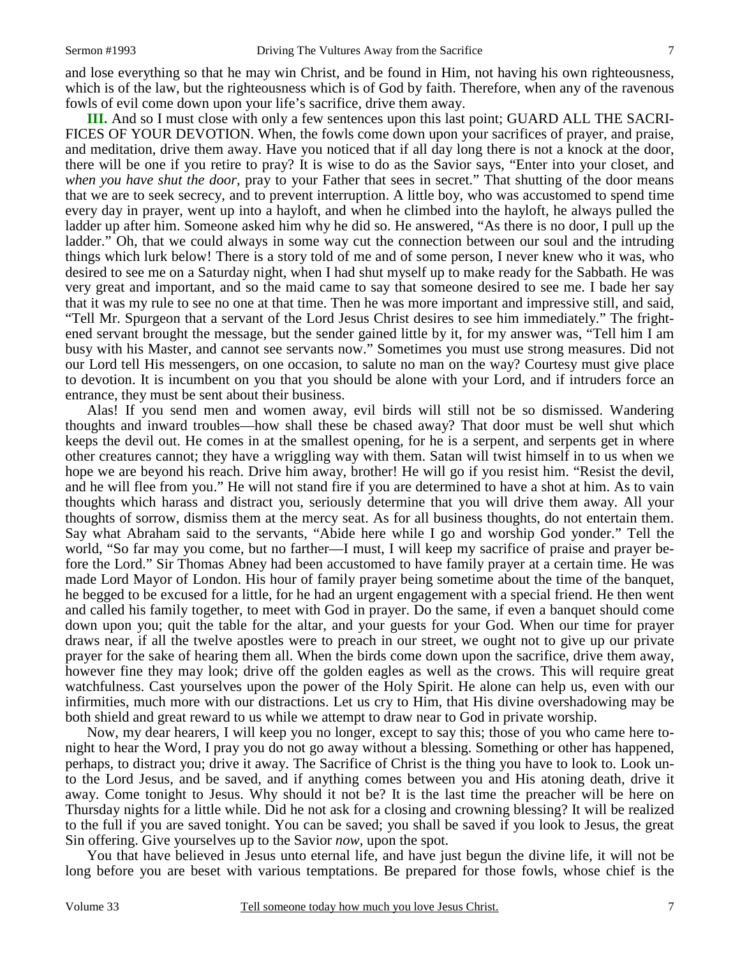and lose everything so that he may win Christ, and be found in Him, not having his own righteousness, which is of the law, but the righteousness which is of God by faith. Therefore, when any of the ravenous fowls of evil come down upon your life's sacrifice, drive them away.

**III.** And so I must close with only a few sentences upon this last point; GUARD ALL THE SACRI-FICES OF YOUR DEVOTION. When, the fowls come down upon your sacrifices of prayer, and praise, and meditation, drive them away. Have you noticed that if all day long there is not a knock at the door, there will be one if you retire to pray? It is wise to do as the Savior says, "Enter into your closet, and *when you have shut the door,* pray to your Father that sees in secret." That shutting of the door means that we are to seek secrecy, and to prevent interruption. A little boy, who was accustomed to spend time every day in prayer, went up into a hayloft, and when he climbed into the hayloft, he always pulled the ladder up after him. Someone asked him why he did so. He answered, "As there is no door, I pull up the ladder." Oh, that we could always in some way cut the connection between our soul and the intruding things which lurk below! There is a story told of me and of some person, I never knew who it was, who desired to see me on a Saturday night, when I had shut myself up to make ready for the Sabbath. He was very great and important, and so the maid came to say that someone desired to see me. I bade her say that it was my rule to see no one at that time. Then he was more important and impressive still, and said, "Tell Mr. Spurgeon that a servant of the Lord Jesus Christ desires to see him immediately." The frightened servant brought the message, but the sender gained little by it, for my answer was, "Tell him I am busy with his Master, and cannot see servants now." Sometimes you must use strong measures. Did not our Lord tell His messengers, on one occasion, to salute no man on the way? Courtesy must give place to devotion. It is incumbent on you that you should be alone with your Lord, and if intruders force an entrance, they must be sent about their business.

Alas! If you send men and women away, evil birds will still not be so dismissed. Wandering thoughts and inward troubles—how shall these be chased away? That door must be well shut which keeps the devil out. He comes in at the smallest opening, for he is a serpent, and serpents get in where other creatures cannot; they have a wriggling way with them. Satan will twist himself in to us when we hope we are beyond his reach. Drive him away, brother! He will go if you resist him. "Resist the devil, and he will flee from you." He will not stand fire if you are determined to have a shot at him. As to vain thoughts which harass and distract you, seriously determine that you will drive them away. All your thoughts of sorrow, dismiss them at the mercy seat. As for all business thoughts, do not entertain them. Say what Abraham said to the servants, "Abide here while I go and worship God yonder." Tell the world, "So far may you come, but no farther—I must, I will keep my sacrifice of praise and prayer before the Lord." Sir Thomas Abney had been accustomed to have family prayer at a certain time. He was made Lord Mayor of London. His hour of family prayer being sometime about the time of the banquet, he begged to be excused for a little, for he had an urgent engagement with a special friend. He then went and called his family together, to meet with God in prayer. Do the same, if even a banquet should come down upon you; quit the table for the altar, and your guests for your God. When our time for prayer draws near, if all the twelve apostles were to preach in our street, we ought not to give up our private prayer for the sake of hearing them all. When the birds come down upon the sacrifice, drive them away, however fine they may look; drive off the golden eagles as well as the crows. This will require great watchfulness. Cast yourselves upon the power of the Holy Spirit. He alone can help us, even with our infirmities, much more with our distractions. Let us cry to Him, that His divine overshadowing may be both shield and great reward to us while we attempt to draw near to God in private worship.

Now, my dear hearers, I will keep you no longer, except to say this; those of you who came here tonight to hear the Word, I pray you do not go away without a blessing. Something or other has happened, perhaps, to distract you; drive it away. The Sacrifice of Christ is the thing you have to look to. Look unto the Lord Jesus, and be saved, and if anything comes between you and His atoning death, drive it away. Come tonight to Jesus. Why should it not be? It is the last time the preacher will be here on Thursday nights for a little while. Did he not ask for a closing and crowning blessing? It will be realized to the full if you are saved tonight. You can be saved; you shall be saved if you look to Jesus, the great Sin offering. Give yourselves up to the Savior *now,* upon the spot.

You that have believed in Jesus unto eternal life, and have just begun the divine life, it will not be long before you are beset with various temptations. Be prepared for those fowls, whose chief is the